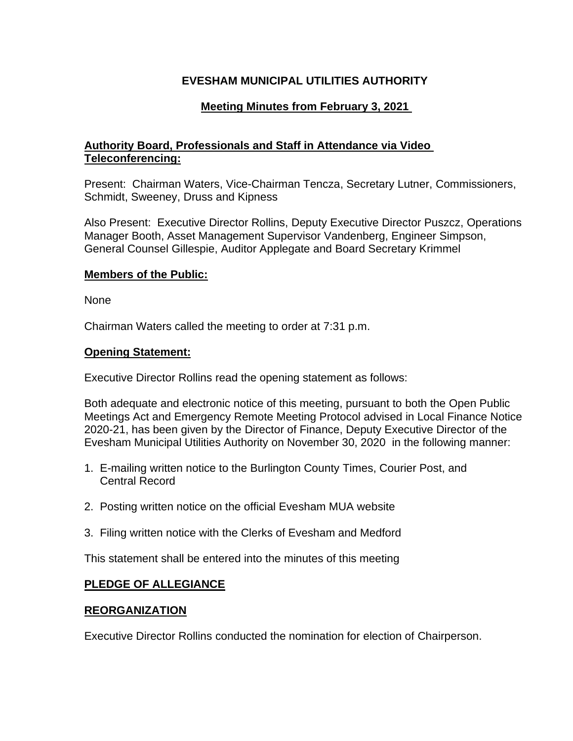# **EVESHAM MUNICIPAL UTILITIES AUTHORITY**

# **Meeting Minutes from February 3, 2021**

## **Authority Board, Professionals and Staff in Attendance via Video Teleconferencing:**

Present: Chairman Waters, Vice-Chairman Tencza, Secretary Lutner, Commissioners, Schmidt, Sweeney, Druss and Kipness

Also Present: Executive Director Rollins, Deputy Executive Director Puszcz, Operations Manager Booth, Asset Management Supervisor Vandenberg, Engineer Simpson, General Counsel Gillespie, Auditor Applegate and Board Secretary Krimmel

### **Members of the Public:**

None

Chairman Waters called the meeting to order at 7:31 p.m.

#### **Opening Statement:**

Executive Director Rollins read the opening statement as follows:

Both adequate and electronic notice of this meeting, pursuant to both the Open Public Meetings Act and Emergency Remote Meeting Protocol advised in Local Finance Notice 2020-21, has been given by the Director of Finance, Deputy Executive Director of the Evesham Municipal Utilities Authority on November 30, 2020 in the following manner:

- 1. E-mailing written notice to the Burlington County Times, Courier Post, and Central Record
- 2. Posting written notice on the official Evesham MUA website
- 3. Filing written notice with the Clerks of Evesham and Medford

This statement shall be entered into the minutes of this meeting

## **PLEDGE OF ALLEGIANCE**

## **REORGANIZATION**

Executive Director Rollins conducted the nomination for election of Chairperson.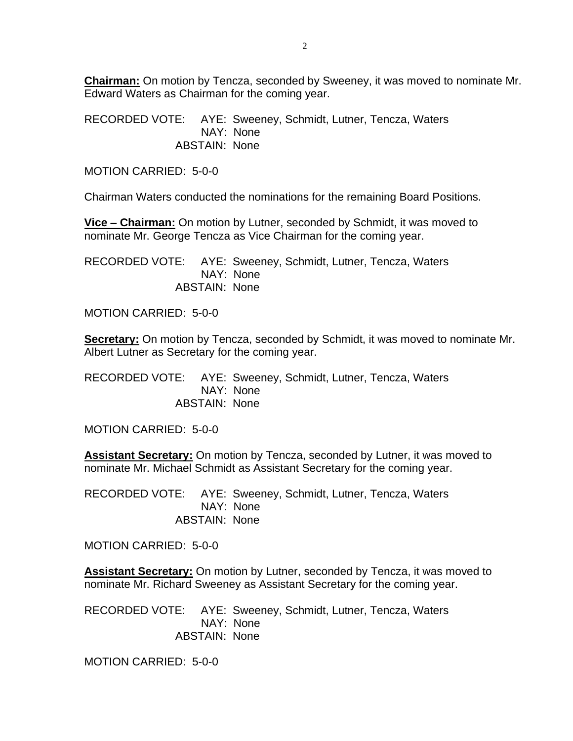**Chairman:** On motion by Tencza, seconded by Sweeney, it was moved to nominate Mr. Edward Waters as Chairman for the coming year.

RECORDED VOTE: AYE: Sweeney, Schmidt, Lutner, Tencza, Waters NAY: None ABSTAIN: None

MOTION CARRIED: 5-0-0

Chairman Waters conducted the nominations for the remaining Board Positions.

**Vice – Chairman:** On motion by Lutner, seconded by Schmidt, it was moved to nominate Mr. George Tencza as Vice Chairman for the coming year.

RECORDED VOTE: AYE: Sweeney, Schmidt, Lutner, Tencza, Waters NAY: None ABSTAIN: None

MOTION CARRIED: 5-0-0

**Secretary:** On motion by Tencza, seconded by Schmidt, it was moved to nominate Mr. Albert Lutner as Secretary for the coming year.

RECORDED VOTE: AYE: Sweeney, Schmidt, Lutner, Tencza, Waters NAY: None ABSTAIN: None

MOTION CARRIED: 5-0-0

**Assistant Secretary:** On motion by Tencza, seconded by Lutner, it was moved to nominate Mr. Michael Schmidt as Assistant Secretary for the coming year.

RECORDED VOTE: AYE: Sweeney, Schmidt, Lutner, Tencza, Waters NAY: None ABSTAIN: None

MOTION CARRIED: 5-0-0

**Assistant Secretary:** On motion by Lutner, seconded by Tencza, it was moved to nominate Mr. Richard Sweeney as Assistant Secretary for the coming year.

RECORDED VOTE: AYE: Sweeney, Schmidt, Lutner, Tencza, Waters NAY: None ABSTAIN: None

MOTION CARRIED: 5-0-0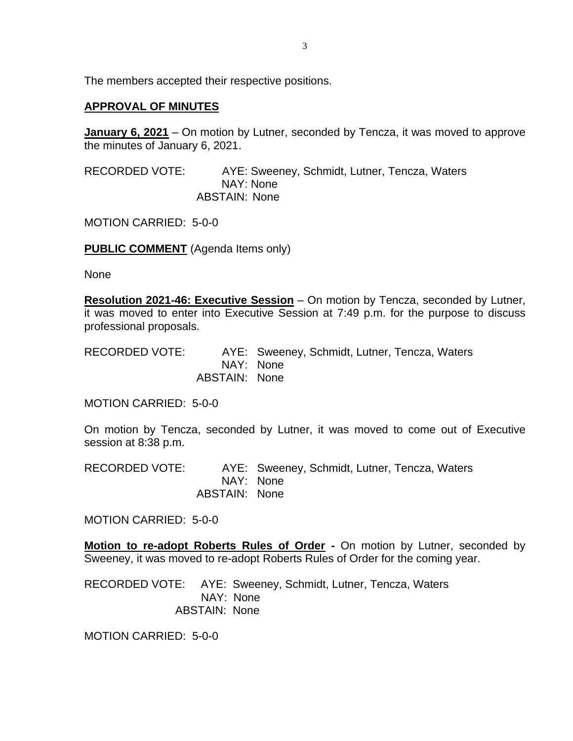The members accepted their respective positions.

## **APPROVAL OF MINUTES**

**January 6, 2021** – On motion by Lutner, seconded by Tencza, it was moved to approve the minutes of January 6, 2021.

RECORDED VOTE: AYE: Sweeney, Schmidt, Lutner, Tencza, Waters NAY: None ABSTAIN: None

MOTION CARRIED: 5-0-0

**PUBLIC COMMENT** (Agenda Items only)

None

**Resolution 2021-46: Executive Session** – On motion by Tencza, seconded by Lutner, it was moved to enter into Executive Session at 7:49 p.m. for the purpose to discuss professional proposals.

RECORDED VOTE: AYE: Sweeney, Schmidt, Lutner, Tencza, Waters NAY: None ABSTAIN: None

MOTION CARRIED: 5-0-0

On motion by Tencza, seconded by Lutner, it was moved to come out of Executive session at 8:38 p.m.

RECORDED VOTE: AYE: Sweeney, Schmidt, Lutner, Tencza, Waters NAY: None ABSTAIN: None

MOTION CARRIED: 5-0-0

**Motion to re-adopt Roberts Rules of Order -** On motion by Lutner, seconded by Sweeney, it was moved to re-adopt Roberts Rules of Order for the coming year.

RECORDED VOTE: AYE: Sweeney, Schmidt, Lutner, Tencza, Waters NAY: None ABSTAIN: None

MOTION CARRIED: 5-0-0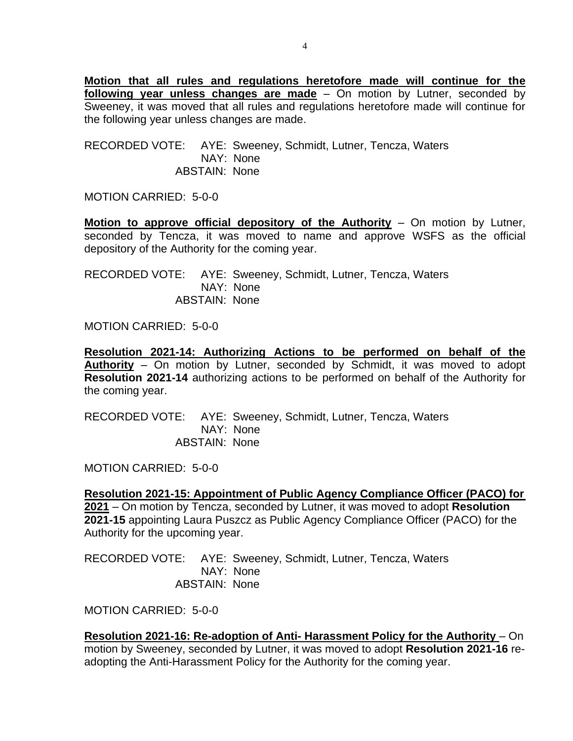**Motion that all rules and regulations heretofore made will continue for the following year unless changes are made** – On motion by Lutner, seconded by Sweeney, it was moved that all rules and regulations heretofore made will continue for the following year unless changes are made.

RECORDED VOTE: AYE: Sweeney, Schmidt, Lutner, Tencza, Waters NAY: None ABSTAIN: None

MOTION CARRIED: 5-0-0

**Motion to approve official depository of the Authority** – On motion by Lutner, seconded by Tencza, it was moved to name and approve WSFS as the official depository of the Authority for the coming year.

RECORDED VOTE: AYE: Sweeney, Schmidt, Lutner, Tencza, Waters NAY: None ABSTAIN: None

MOTION CARRIED: 5-0-0

**Resolution 2021-14: Authorizing Actions to be performed on behalf of the Authority** – On motion by Lutner, seconded by Schmidt, it was moved to adopt **Resolution 2021-14** authorizing actions to be performed on behalf of the Authority for the coming year.

RECORDED VOTE: AYE: Sweeney, Schmidt, Lutner, Tencza, Waters NAY: None ABSTAIN: None

MOTION CARRIED: 5-0-0

**Resolution 2021-15: Appointment of Public Agency Compliance Officer (PACO) for 2021** – On motion by Tencza, seconded by Lutner, it was moved to adopt **Resolution 2021-15** appointing Laura Puszcz as Public Agency Compliance Officer (PACO) for the Authority for the upcoming year.

RECORDED VOTE: AYE: Sweeney, Schmidt, Lutner, Tencza, Waters NAY: None ABSTAIN: None

MOTION CARRIED: 5-0-0

**Resolution 2021-16: Re-adoption of Anti- Harassment Policy for the Authority** – On motion by Sweeney, seconded by Lutner, it was moved to adopt **Resolution 2021-16** readopting the Anti-Harassment Policy for the Authority for the coming year.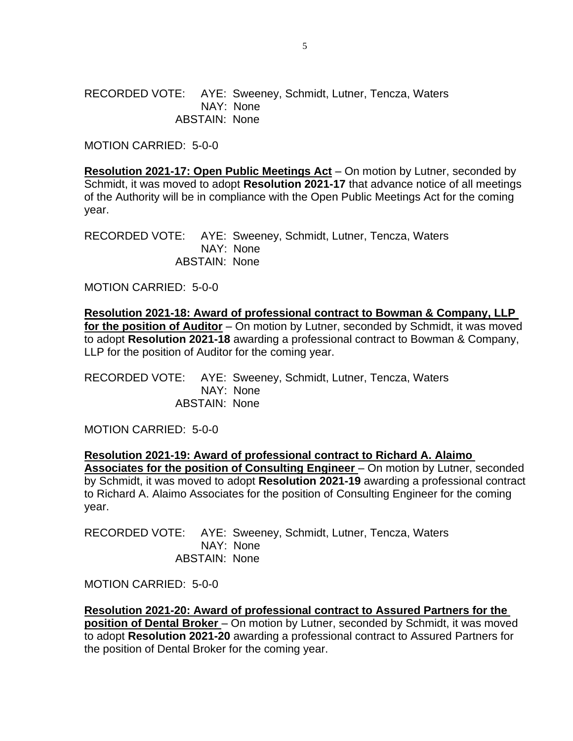RECORDED VOTE: AYE: Sweeney, Schmidt, Lutner, Tencza, Waters NAY: None ABSTAIN: None

MOTION CARRIED: 5-0-0

**Resolution 2021-17: Open Public Meetings Act** – On motion by Lutner, seconded by Schmidt, it was moved to adopt **Resolution 2021-17** that advance notice of all meetings of the Authority will be in compliance with the Open Public Meetings Act for the coming year.

RECORDED VOTE: AYE: Sweeney, Schmidt, Lutner, Tencza, Waters NAY: None ABSTAIN: None

MOTION CARRIED: 5-0-0

**Resolution 2021-18: Award of professional contract to Bowman & Company, LLP for the position of Auditor** – On motion by Lutner, seconded by Schmidt, it was moved to adopt **Resolution 2021-18** awarding a professional contract to Bowman & Company, LLP for the position of Auditor for the coming year.

RECORDED VOTE: AYE: Sweeney, Schmidt, Lutner, Tencza, Waters NAY: None ABSTAIN: None

MOTION CARRIED: 5-0-0

**Resolution 2021-19: Award of professional contract to Richard A. Alaimo**  Associates for the position of Consulting Engineer - On motion by Lutner, seconded by Schmidt, it was moved to adopt **Resolution 2021-19** awarding a professional contract to Richard A. Alaimo Associates for the position of Consulting Engineer for the coming year.

RECORDED VOTE: AYE: Sweeney, Schmidt, Lutner, Tencza, Waters NAY: None ABSTAIN: None

MOTION CARRIED: 5-0-0

**Resolution 2021-20: Award of professional contract to Assured Partners for the position of Dental Broker** – On motion by Lutner, seconded by Schmidt, it was moved to adopt **Resolution 2021-20** awarding a professional contract to Assured Partners for the position of Dental Broker for the coming year.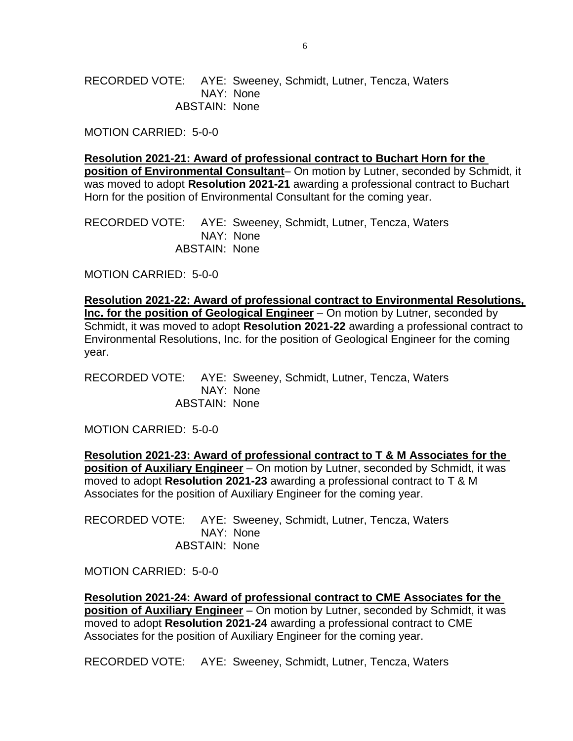RECORDED VOTE: AYE: Sweeney, Schmidt, Lutner, Tencza, Waters NAY: None ABSTAIN: None

MOTION CARRIED: 5-0-0

**Resolution 2021-21: Award of professional contract to Buchart Horn for the position of Environmental Consultant**– On motion by Lutner, seconded by Schmidt, it was moved to adopt **Resolution 2021-21** awarding a professional contract to Buchart Horn for the position of Environmental Consultant for the coming year.

RECORDED VOTE: AYE: Sweeney, Schmidt, Lutner, Tencza, Waters NAY: None ABSTAIN: None

MOTION CARRIED: 5-0-0

**Resolution 2021-22: Award of professional contract to Environmental Resolutions, Inc. for the position of Geological Engineer** – On motion by Lutner, seconded by Schmidt, it was moved to adopt **Resolution 2021-22** awarding a professional contract to Environmental Resolutions, Inc. for the position of Geological Engineer for the coming year.

RECORDED VOTE: AYE: Sweeney, Schmidt, Lutner, Tencza, Waters NAY: None ABSTAIN: None

MOTION CARRIED: 5-0-0

**Resolution 2021-23: Award of professional contract to T & M Associates for the position of Auxiliary Engineer** – On motion by Lutner, seconded by Schmidt, it was moved to adopt **Resolution 2021-23** awarding a professional contract to T & M Associates for the position of Auxiliary Engineer for the coming year.

RECORDED VOTE: AYE: Sweeney, Schmidt, Lutner, Tencza, Waters NAY: None ABSTAIN: None

MOTION CARRIED: 5-0-0

**Resolution 2021-24: Award of professional contract to CME Associates for the position of Auxiliary Engineer** – On motion by Lutner, seconded by Schmidt, it was moved to adopt **Resolution 2021-24** awarding a professional contract to CME Associates for the position of Auxiliary Engineer for the coming year.

RECORDED VOTE: AYE: Sweeney, Schmidt, Lutner, Tencza, Waters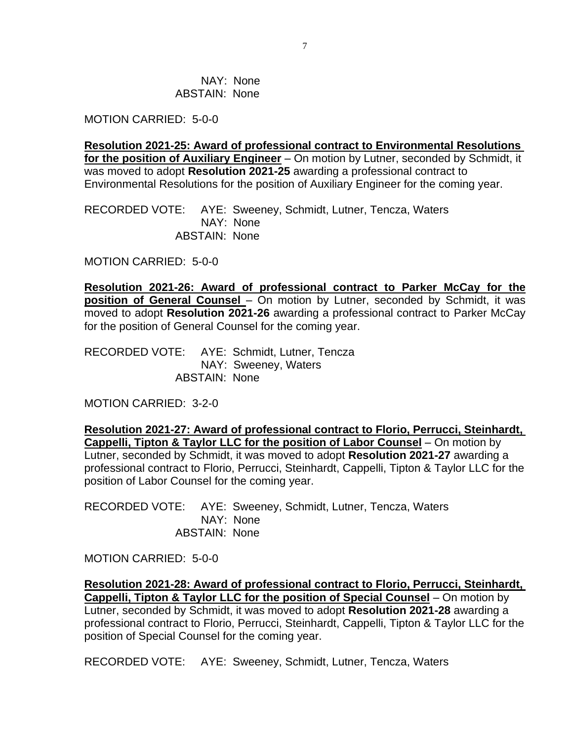NAY: None ABSTAIN: None

MOTION CARRIED: 5-0-0

**Resolution 2021-25: Award of professional contract to Environmental Resolutions for the position of Auxiliary Engineer** – On motion by Lutner, seconded by Schmidt, it was moved to adopt **Resolution 2021-25** awarding a professional contract to Environmental Resolutions for the position of Auxiliary Engineer for the coming year.

RECORDED VOTE: AYE: Sweeney, Schmidt, Lutner, Tencza, Waters NAY: None ABSTAIN: None

MOTION CARRIED: 5-0-0

**Resolution 2021-26: Award of professional contract to Parker McCay for the position of General Counsel** – On motion by Lutner, seconded by Schmidt, it was moved to adopt **Resolution 2021-26** awarding a professional contract to Parker McCay for the position of General Counsel for the coming year.

RECORDED VOTE: AYE: Schmidt, Lutner, Tencza NAY: Sweeney, Waters ABSTAIN: None

MOTION CARRIED: 3-2-0

**Resolution 2021-27: Award of professional contract to Florio, Perrucci, Steinhardt, Cappelli, Tipton & Taylor LLC for the position of Labor Counsel** – On motion by Lutner, seconded by Schmidt, it was moved to adopt **Resolution 2021-27** awarding a professional contract to Florio, Perrucci, Steinhardt, Cappelli, Tipton & Taylor LLC for the position of Labor Counsel for the coming year.

RECORDED VOTE: AYE: Sweeney, Schmidt, Lutner, Tencza, Waters NAY: None ABSTAIN: None

MOTION CARRIED: 5-0-0

**Resolution 2021-28: Award of professional contract to Florio, Perrucci, Steinhardt, Cappelli, Tipton & Taylor LLC for the position of Special Counsel** – On motion by Lutner, seconded by Schmidt, it was moved to adopt **Resolution 2021-28** awarding a professional contract to Florio, Perrucci, Steinhardt, Cappelli, Tipton & Taylor LLC for the position of Special Counsel for the coming year.

RECORDED VOTE: AYE: Sweeney, Schmidt, Lutner, Tencza, Waters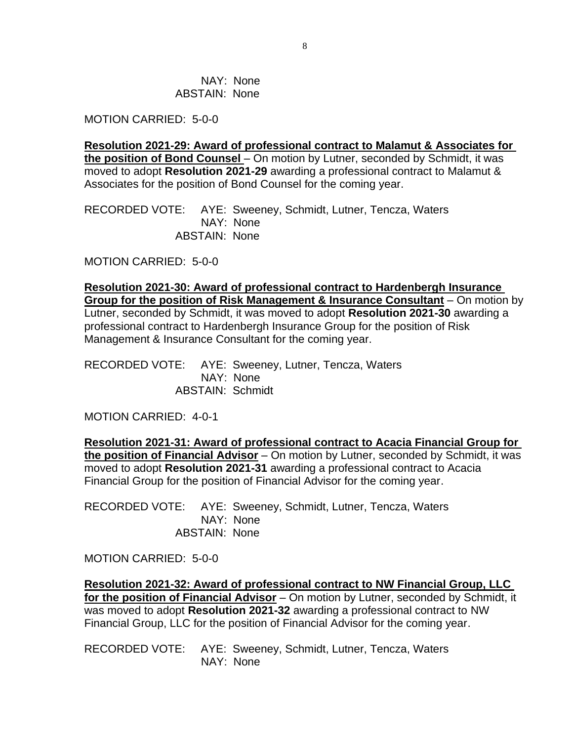NAY: None ABSTAIN: None

MOTION CARRIED: 5-0-0

**Resolution 2021-29: Award of professional contract to Malamut & Associates for the position of Bond Counsel** – On motion by Lutner, seconded by Schmidt, it was moved to adopt **Resolution 2021-29** awarding a professional contract to Malamut & Associates for the position of Bond Counsel for the coming year.

RECORDED VOTE: AYE: Sweeney, Schmidt, Lutner, Tencza, Waters NAY: None ABSTAIN: None

MOTION CARRIED: 5-0-0

**Resolution 2021-30: Award of professional contract to Hardenbergh Insurance Group for the position of Risk Management & Insurance Consultant** – On motion by Lutner, seconded by Schmidt, it was moved to adopt **Resolution 2021-30** awarding a professional contract to Hardenbergh Insurance Group for the position of Risk Management & Insurance Consultant for the coming year.

RECORDED VOTE: AYE: Sweeney, Lutner, Tencza, Waters NAY: None ABSTAIN: Schmidt

MOTION CARRIED: 4-0-1

**Resolution 2021-31: Award of professional contract to Acacia Financial Group for the position of Financial Advisor** – On motion by Lutner, seconded by Schmidt, it was moved to adopt **Resolution 2021-31** awarding a professional contract to Acacia Financial Group for the position of Financial Advisor for the coming year.

RECORDED VOTE: AYE: Sweeney, Schmidt, Lutner, Tencza, Waters NAY: None ABSTAIN: None

MOTION CARRIED: 5-0-0

**Resolution 2021-32: Award of professional contract to NW Financial Group, LLC for the position of Financial Advisor** – On motion by Lutner, seconded by Schmidt, it was moved to adopt **Resolution 2021-32** awarding a professional contract to NW Financial Group, LLC for the position of Financial Advisor for the coming year.

RECORDED VOTE: AYE: Sweeney, Schmidt, Lutner, Tencza, Waters NAY: None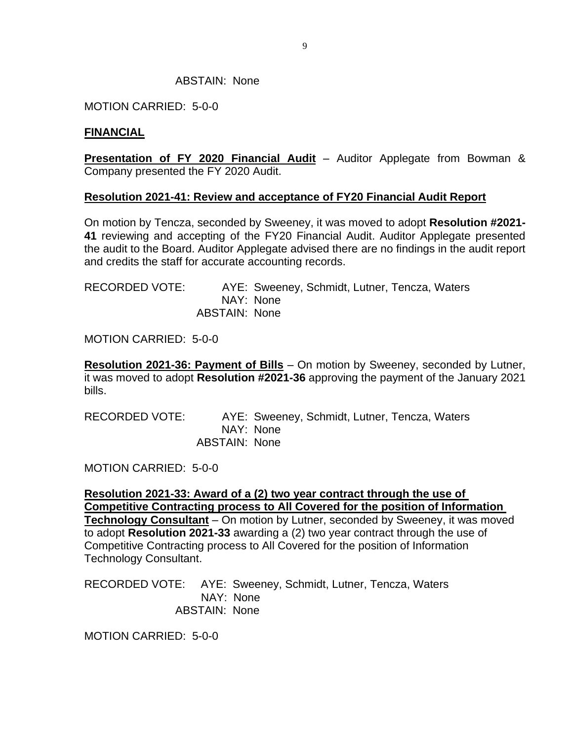#### ABSTAIN: None

MOTION CARRIED: 5-0-0

#### **FINANCIAL**

**Presentation of FY 2020 Financial Audit** – Auditor Applegate from Bowman & Company presented the FY 2020 Audit.

#### **Resolution 2021-41: Review and acceptance of FY20 Financial Audit Report**

On motion by Tencza, seconded by Sweeney, it was moved to adopt **Resolution #2021- 41** reviewing and accepting of the FY20 Financial Audit. Auditor Applegate presented the audit to the Board. Auditor Applegate advised there are no findings in the audit report and credits the staff for accurate accounting records.

| RECORDED VOTE: |               | AYE: Sweeney, Schmidt, Lutner, Tencza, Waters |  |  |
|----------------|---------------|-----------------------------------------------|--|--|
|                |               | NAY: None                                     |  |  |
|                | ABSTAIN: None |                                               |  |  |

MOTION CARRIED: 5-0-0

**Resolution 2021-36: Payment of Bills** – On motion by Sweeney, seconded by Lutner, it was moved to adopt **Resolution #2021-36** approving the payment of the January 2021 bills.

| RECORDED VOTE: |                      | AYE: Sweeney, Schmidt, Lutner, Tencza, Waters |
|----------------|----------------------|-----------------------------------------------|
|                |                      | NAY: None                                     |
|                | <b>ABSTAIN: None</b> |                                               |

MOTION CARRIED: 5-0-0

**Resolution 2021-33: Award of a (2) two year contract through the use of Competitive Contracting process to All Covered for the position of Information Technology Consultant** – On motion by Lutner, seconded by Sweeney, it was moved to adopt **Resolution 2021-33** awarding a (2) two year contract through the use of Competitive Contracting process to All Covered for the position of Information Technology Consultant.

RECORDED VOTE: AYE: Sweeney, Schmidt, Lutner, Tencza, Waters NAY: None ABSTAIN: None

MOTION CARRIED: 5-0-0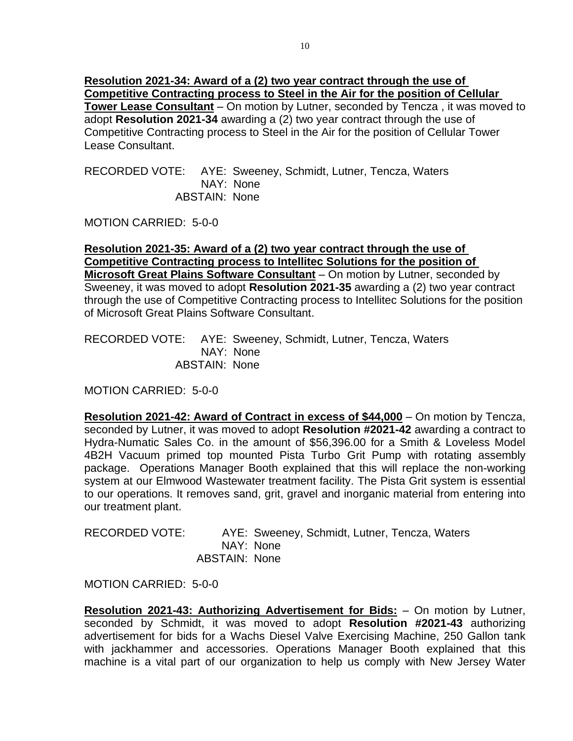**Resolution 2021-34: Award of a (2) two year contract through the use of Competitive Contracting process to Steel in the Air for the position of Cellular Tower Lease Consultant** – On motion by Lutner, seconded by Tencza , it was moved to adopt **Resolution 2021-34** awarding a (2) two year contract through the use of Competitive Contracting process to Steel in the Air for the position of Cellular Tower Lease Consultant.

RECORDED VOTE: AYE: Sweeney, Schmidt, Lutner, Tencza, Waters NAY: None ABSTAIN: None

MOTION CARRIED: 5-0-0

**Resolution 2021-35: Award of a (2) two year contract through the use of Competitive Contracting process to Intellitec Solutions for the position of Microsoft Great Plains Software Consultant** – On motion by Lutner, seconded by Sweeney, it was moved to adopt **Resolution 2021-35** awarding a (2) two year contract through the use of Competitive Contracting process to Intellitec Solutions for the position of Microsoft Great Plains Software Consultant.

RECORDED VOTE: AYE: Sweeney, Schmidt, Lutner, Tencza, Waters NAY: None ABSTAIN: None

MOTION CARRIED: 5-0-0

**Resolution 2021-42: Award of Contract in excess of \$44,000** – On motion by Tencza, seconded by Lutner, it was moved to adopt **Resolution #2021-42** awarding a contract to Hydra-Numatic Sales Co. in the amount of \$56,396.00 for a Smith & Loveless Model 4B2H Vacuum primed top mounted Pista Turbo Grit Pump with rotating assembly package. Operations Manager Booth explained that this will replace the non-working system at our Elmwood Wastewater treatment facility. The Pista Grit system is essential to our operations. It removes sand, grit, gravel and inorganic material from entering into our treatment plant.

| <b>RECORDED VOTE:</b> |                      | AYE: Sweeney, Schmidt, Lutner, Tencza, Waters |  |  |
|-----------------------|----------------------|-----------------------------------------------|--|--|
|                       |                      | NAY: None                                     |  |  |
|                       | <b>ABSTAIN: None</b> |                                               |  |  |

MOTION CARRIED: 5-0-0

**Resolution 2021-43: Authorizing Advertisement for Bids:** – On motion by Lutner, seconded by Schmidt, it was moved to adopt **Resolution #2021-43** authorizing advertisement for bids for a Wachs Diesel Valve Exercising Machine, 250 Gallon tank with jackhammer and accessories. Operations Manager Booth explained that this machine is a vital part of our organization to help us comply with New Jersey Water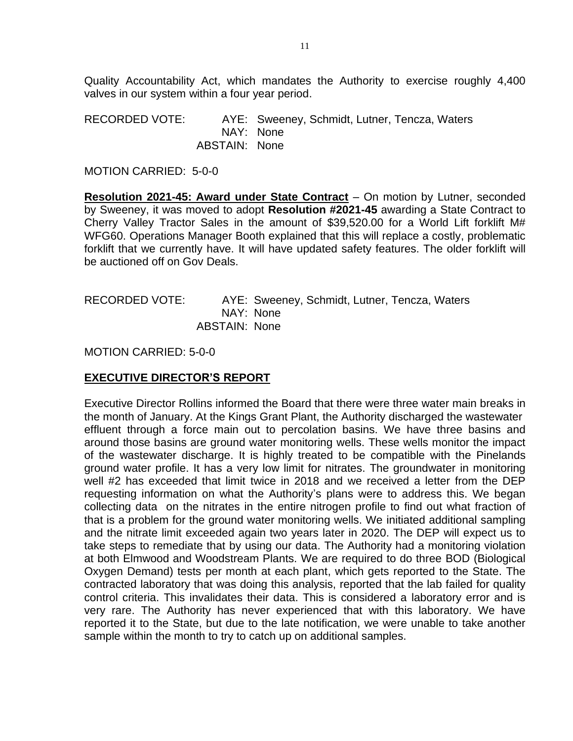Quality Accountability Act, which mandates the Authority to exercise roughly 4,400 valves in our system within a four year period.

RECORDED VOTE: AYE: Sweeney, Schmidt, Lutner, Tencza, Waters NAY: None ABSTAIN: None

MOTION CARRIED: 5-0-0

**Resolution 2021-45: Award under State Contract** – On motion by Lutner, seconded by Sweeney, it was moved to adopt **Resolution #2021-45** awarding a State Contract to Cherry Valley Tractor Sales in the amount of \$39,520.00 for a World Lift forklift M# WFG60. Operations Manager Booth explained that this will replace a costly, problematic forklift that we currently have. It will have updated safety features. The older forklift will be auctioned off on Gov Deals.

RECORDED VOTE: AYE: Sweeney, Schmidt, Lutner, Tencza, Waters NAY: None ABSTAIN: None

MOTION CARRIED: 5-0-0

## **EXECUTIVE DIRECTOR'S REPORT**

Executive Director Rollins informed the Board that there were three water main breaks in the month of January. At the Kings Grant Plant, the Authority discharged the wastewater effluent through a force main out to percolation basins. We have three basins and around those basins are ground water monitoring wells. These wells monitor the impact of the wastewater discharge. It is highly treated to be compatible with the Pinelands ground water profile. It has a very low limit for nitrates. The groundwater in monitoring well #2 has exceeded that limit twice in 2018 and we received a letter from the DEP requesting information on what the Authority's plans were to address this. We began collecting data on the nitrates in the entire nitrogen profile to find out what fraction of that is a problem for the ground water monitoring wells. We initiated additional sampling and the nitrate limit exceeded again two years later in 2020. The DEP will expect us to take steps to remediate that by using our data. The Authority had a monitoring violation at both Elmwood and Woodstream Plants. We are required to do three BOD (Biological Oxygen Demand) tests per month at each plant, which gets reported to the State. The contracted laboratory that was doing this analysis, reported that the lab failed for quality control criteria. This invalidates their data. This is considered a laboratory error and is very rare. The Authority has never experienced that with this laboratory. We have reported it to the State, but due to the late notification, we were unable to take another sample within the month to try to catch up on additional samples.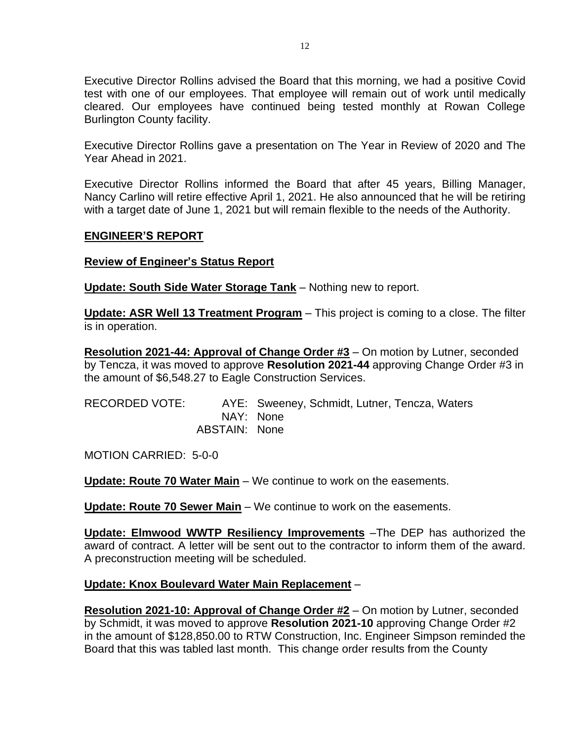Executive Director Rollins advised the Board that this morning, we had a positive Covid test with one of our employees. That employee will remain out of work until medically cleared. Our employees have continued being tested monthly at Rowan College Burlington County facility.

Executive Director Rollins gave a presentation on The Year in Review of 2020 and The Year Ahead in 2021.

Executive Director Rollins informed the Board that after 45 years, Billing Manager, Nancy Carlino will retire effective April 1, 2021. He also announced that he will be retiring with a target date of June 1, 2021 but will remain flexible to the needs of the Authority.

#### **ENGINEER'S REPORT**

### **Review of Engineer's Status Report**

**Update: South Side Water Storage Tank** – Nothing new to report.

**Update: ASR Well 13 Treatment Program** – This project is coming to a close. The filter is in operation.

**Resolution 2021-44: Approval of Change Order #3** – On motion by Lutner, seconded by Tencza, it was moved to approve **Resolution 2021-44** approving Change Order #3 in the amount of \$6,548.27 to Eagle Construction Services.

| RECORDED VOTE: |               | AYE: Sweeney, Schmidt, Lutner, Tencza, Waters |
|----------------|---------------|-----------------------------------------------|
|                |               | NAY: None                                     |
|                | ABSTAIN: None |                                               |

MOTION CARRIED: 5-0-0

**Update: Route 70 Water Main** – We continue to work on the easements.

**Update: Route 70 Sewer Main** – We continue to work on the easements.

**Update: Elmwood WWTP Resiliency Improvements** –The DEP has authorized the award of contract. A letter will be sent out to the contractor to inform them of the award. A preconstruction meeting will be scheduled.

#### **Update: Knox Boulevard Water Main Replacement** –

**Resolution 2021-10: Approval of Change Order #2** – On motion by Lutner, seconded by Schmidt, it was moved to approve **Resolution 2021-10** approving Change Order #2 in the amount of \$128,850.00 to RTW Construction, Inc. Engineer Simpson reminded the Board that this was tabled last month. This change order results from the County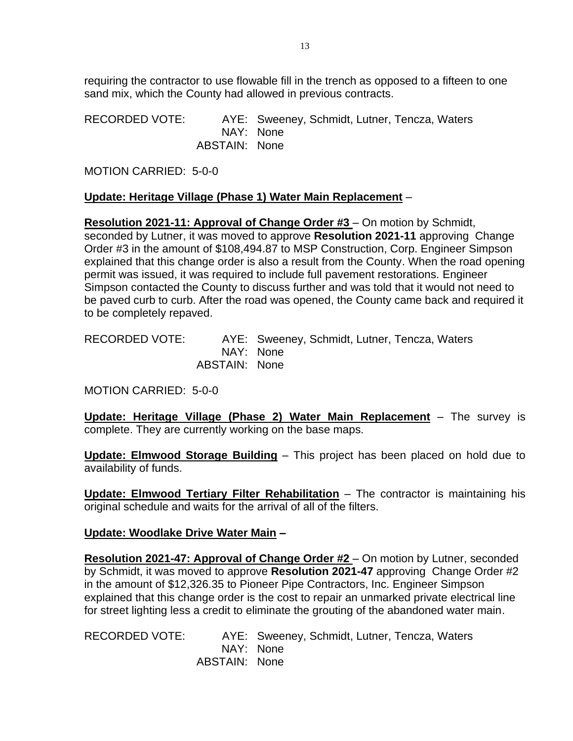requiring the contractor to use flowable fill in the trench as opposed to a fifteen to one sand mix, which the County had allowed in previous contracts.

RECORDED VOTE: AYE: Sweeney, Schmidt, Lutner, Tencza, Waters NAY: None ABSTAIN: None

MOTION CARRIED: 5-0-0

## **Update: Heritage Village (Phase 1) Water Main Replacement** –

**Resolution 2021-11: Approval of Change Order #3** – On motion by Schmidt, seconded by Lutner, it was moved to approve **Resolution 2021-11** approving Change Order #3 in the amount of \$108,494.87 to MSP Construction, Corp. Engineer Simpson explained that this change order is also a result from the County. When the road opening permit was issued, it was required to include full pavement restorations. Engineer Simpson contacted the County to discuss further and was told that it would not need to be paved curb to curb. After the road was opened, the County came back and required it to be completely repaved.

RECORDED VOTE: AYE: Sweeney, Schmidt, Lutner, Tencza, Waters NAY: None ABSTAIN: None

MOTION CARRIED: 5-0-0

**Update: Heritage Village (Phase 2) Water Main Replacement** – The survey is complete. They are currently working on the base maps.

**Update: Elmwood Storage Building** – This project has been placed on hold due to availability of funds.

**Update: Elmwood Tertiary Filter Rehabilitation** – The contractor is maintaining his original schedule and waits for the arrival of all of the filters.

## **Update: Woodlake Drive Water Main –**

**Resolution 2021-47: Approval of Change Order #2** – On motion by Lutner, seconded by Schmidt, it was moved to approve **Resolution 2021-47** approving Change Order #2 in the amount of \$12,326.35 to Pioneer Pipe Contractors, Inc. Engineer Simpson explained that this change order is the cost to repair an unmarked private electrical line for street lighting less a credit to eliminate the grouting of the abandoned water main.

RECORDED VOTE: AYE: Sweeney, Schmidt, Lutner, Tencza, Waters NAY: None ABSTAIN: None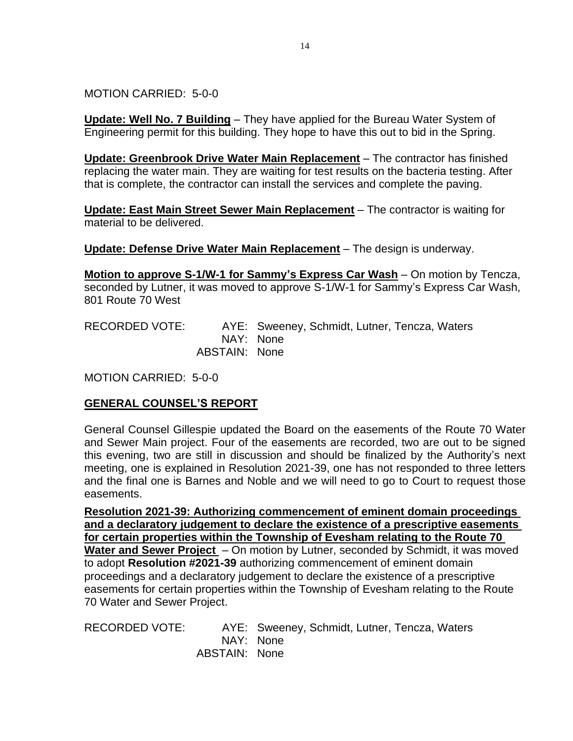MOTION CARRIED: 5-0-0

**Update: Well No. 7 Building** – They have applied for the Bureau Water System of Engineering permit for this building. They hope to have this out to bid in the Spring.

**Update: Greenbrook Drive Water Main Replacement** – The contractor has finished replacing the water main. They are waiting for test results on the bacteria testing. After that is complete, the contractor can install the services and complete the paving.

**Update: East Main Street Sewer Main Replacement** – The contractor is waiting for material to be delivered.

**Update: Defense Drive Water Main Replacement** – The design is underway.

**Motion to approve S-1/W-1 for Sammy's Express Car Wash** – On motion by Tencza, seconded by Lutner, it was moved to approve S-1/W-1 for Sammy's Express Car Wash, 801 Route 70 West

RECORDED VOTE: AYE: Sweeney, Schmidt, Lutner, Tencza, Waters NAY: None ABSTAIN: None

MOTION CARRIED: 5-0-0

# **GENERAL COUNSEL'S REPORT**

General Counsel Gillespie updated the Board on the easements of the Route 70 Water and Sewer Main project. Four of the easements are recorded, two are out to be signed this evening, two are still in discussion and should be finalized by the Authority's next meeting, one is explained in Resolution 2021-39, one has not responded to three letters and the final one is Barnes and Noble and we will need to go to Court to request those easements.

**Resolution 2021-39: Authorizing commencement of eminent domain proceedings and a declaratory judgement to declare the existence of a prescriptive easements for certain properties within the Township of Evesham relating to the Route 70 Water and Sewer Project** – On motion by Lutner, seconded by Schmidt, it was moved to adopt **Resolution #2021-39** authorizing commencement of eminent domain proceedings and a declaratory judgement to declare the existence of a prescriptive easements for certain properties within the Township of Evesham relating to the Route 70 Water and Sewer Project.

RECORDED VOTE: AYE: Sweeney, Schmidt, Lutner, Tencza, Waters NAY: None ABSTAIN: None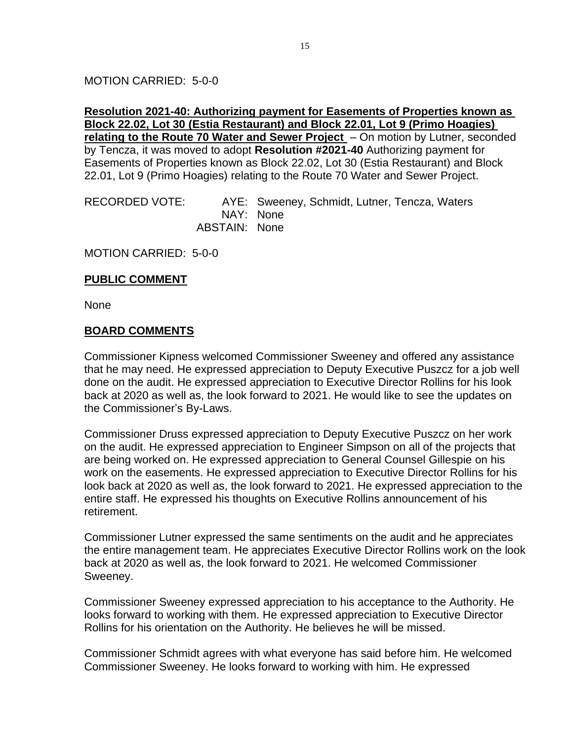### MOTION CARRIED: 5-0-0

### **Resolution 2021-40: Authorizing payment for Easements of Properties known as Block 22.02, Lot 30 (Estia Restaurant) and Block 22.01, Lot 9 (Primo Hoagies) relating to the Route 70 Water and Sewer Project** – On motion by Lutner, seconded by Tencza, it was moved to adopt **Resolution #2021-40** Authorizing payment for Easements of Properties known as Block 22.02, Lot 30 (Estia Restaurant) and Block 22.01, Lot 9 (Primo Hoagies) relating to the Route 70 Water and Sewer Project.

RECORDED VOTE: AYE: Sweeney, Schmidt, Lutner, Tencza, Waters NAY: None ABSTAIN: None

MOTION CARRIED: 5-0-0

#### **PUBLIC COMMENT**

None

#### **BOARD COMMENTS**

Commissioner Kipness welcomed Commissioner Sweeney and offered any assistance that he may need. He expressed appreciation to Deputy Executive Puszcz for a job well done on the audit. He expressed appreciation to Executive Director Rollins for his look back at 2020 as well as, the look forward to 2021. He would like to see the updates on the Commissioner's By-Laws.

Commissioner Druss expressed appreciation to Deputy Executive Puszcz on her work on the audit. He expressed appreciation to Engineer Simpson on all of the projects that are being worked on. He expressed appreciation to General Counsel Gillespie on his work on the easements. He expressed appreciation to Executive Director Rollins for his look back at 2020 as well as, the look forward to 2021. He expressed appreciation to the entire staff. He expressed his thoughts on Executive Rollins announcement of his retirement.

Commissioner Lutner expressed the same sentiments on the audit and he appreciates the entire management team. He appreciates Executive Director Rollins work on the look back at 2020 as well as, the look forward to 2021. He welcomed Commissioner Sweeney.

Commissioner Sweeney expressed appreciation to his acceptance to the Authority. He looks forward to working with them. He expressed appreciation to Executive Director Rollins for his orientation on the Authority. He believes he will be missed.

Commissioner Schmidt agrees with what everyone has said before him. He welcomed Commissioner Sweeney. He looks forward to working with him. He expressed